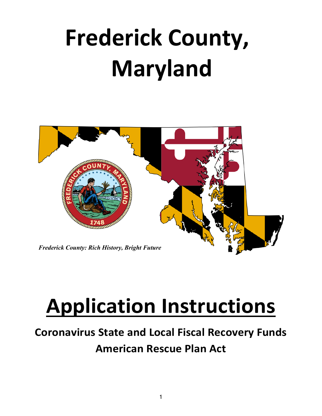# **Frederick County, Maryland**



# **Application Instructions**

# **Coronavirus State and Local Fiscal Recovery Funds American Rescue Plan Act**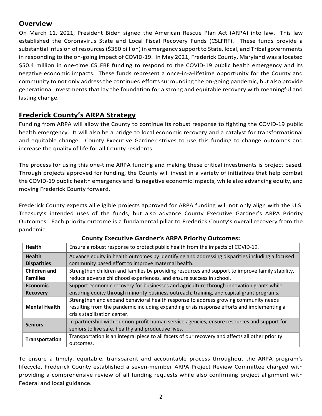### **Overview**

On March 11, 2021, President Biden signed the American Rescue Plan Act (ARPA) into law. This law established the Coronavirus State and Local Fiscal Recovery Funds (CSLFRF). These funds provide a substantial infusion of resources (\$350 billion) in emergency support to State, local, and Tribal governments in responding to the on-going impact of COVID-19. In May 2021, Frederick County, Maryland was allocated \$50.4 million in one-time CSLFRF funding to respond to the COVID-19 public health emergency and its negative economic impacts. These funds represent a once-in-a-lifetime opportunity for the County and community to not only address the continued efforts surrounding the on-going pandemic, but also provide generational investments that lay the foundation for a strong and equitable recovery with meaningful and lasting change.

### **Frederick County's ARPA Strategy**

Funding from ARPA will allow the County to continue its robust response to fighting the COVID-19 public health emergency. It will also be a bridge to local economic recovery and a catalyst for transformational and equitable change. County Executive Gardner strives to use this funding to change outcomes and increase the quality of life for all County residents.

The process for using this one-time ARPA funding and making these critical investments is project based. Through projects approved for funding, the County will invest in a variety of initiatives that help combat the COVID-19 public health emergency and its negative economic impacts, while also advancing equity, and moving Frederick County forward.

Frederick County expects all eligible projects approved for ARPA funding will not only align with the U.S. Treasury's intended uses of the funds, but also advance County Executive Gardner's ARPA Priority Outcomes. Each priority outcome is a fundamental pillar to Frederick County's overall recovery from the pandemic.

| <b>Health</b>         | Ensure a robust response to protect public health from the impacts of COVID-19.                  |  |  |  |
|-----------------------|--------------------------------------------------------------------------------------------------|--|--|--|
| <b>Health</b>         | Advance equity in health outcomes by identifying and addressing disparities including a focused  |  |  |  |
| <b>Disparities</b>    | community based effort to improve maternal health.                                               |  |  |  |
| <b>Children and</b>   | Strengthen children and families by providing resources and support to improve family stability, |  |  |  |
| <b>Families</b>       | reduce adverse childhood experiences, and ensure success in school.                              |  |  |  |
| Economic              | Support economic recovery for businesses and agriculture through innovation grants while         |  |  |  |
| <b>Recovery</b>       | ensuring equity through minority business outreach, training, and capital grant programs.        |  |  |  |
| <b>Mental Health</b>  | Strengthen and expand behavioral health response to address growing community needs              |  |  |  |
|                       | resulting from the pandemic including expanding crisis response efforts and implementing a       |  |  |  |
|                       | crisis stabilization center.                                                                     |  |  |  |
| <b>Seniors</b>        | In partnership with our non-profit human service agencies, ensure resources and support for      |  |  |  |
|                       | seniors to live safe, healthy and productive lives.                                              |  |  |  |
| <b>Transportation</b> | Transportation is an integral piece to all facets of our recovery and affects all other priority |  |  |  |
|                       | outcomes.                                                                                        |  |  |  |

#### **County Executive Gardner's ARPA Priority Outcomes:**

To ensure a timely, equitable, transparent and accountable process throughout the ARPA program's lifecycle, Frederick County established a seven-member ARPA Project Review Committee charged with providing a comprehensive review of all funding requests while also confirming project alignment with Federal and local guidance.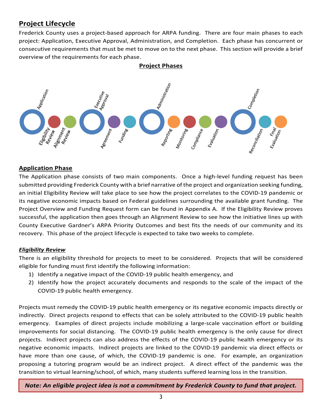# **Project Lifecycle**

Frederick County uses a project-based approach for ARPA funding. There are four main phases to each project: Application, Executive Approval, Administration, and Completion. Each phase has concurrent or consecutive requirements that must be met to move on to the next phase. This section will provide a brief overview of the requirements for each phase.

**Project Phases**



#### **Application Phase**

The Application phase consists of two main components. Once a high-level funding request has been submitted providing Frederick County with a brief narrative of the project and organization seeking funding, an initial Eligibility Review will take place to see how the project correlates to the COVID-19 pandemic or its negative economic impacts based on Federal guidelines surrounding the available grant funding. The Project Overview and Funding Request form can be found in Appendix A. If the Eligibility Review proves successful, the application then goes through an Alignment Review to see how the initiative lines up with County Executive Gardner's ARPA Priority Outcomes and best fits the needs of our community and its recovery. This phase of the project lifecycle is expected to take two weeks to complete.

#### *Eligibility Review*

There is an eligibility threshold for projects to meet to be considered. Projects that will be considered eligible for funding must first identify the following information:

- 1) Identify a negative impact of the COVID-19 public health emergency, and
- 2) Identify how the project accurately documents and responds to the scale of the impact of the COVID-19 public health emergency.

Projects must remedy the COVID-19 public health emergency or its negative economic impacts directly or indirectly. Direct projects respond to effects that can be solely attributed to the COVID-19 public health emergency. Examples of direct projects include mobilizing a large-scale vaccination effort or building improvements for social distancing. The COVID-19 public health emergency is the only cause for direct projects. Indirect projects can also address the effects of the COVID-19 public health emergency or its negative economic impacts. Indirect projects are linked to the COVID-19 pandemic via direct effects or have more than one cause, of which, the COVID-19 pandemic is one. For example, an organization proposing a tutoring program would be an indirect project. A direct effect of the pandemic was the transition to virtual learning/school, of which, many students suffered learning loss in the transition.

*Note: An eligible project idea is not a commitment by Frederick County to fund that project.*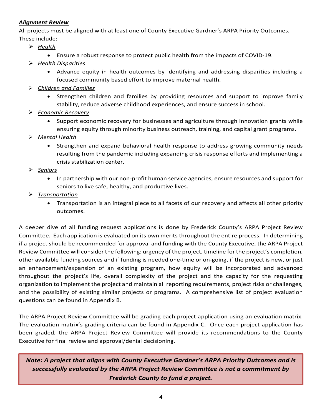#### *Alignment Review*

All projects must be aligned with at least one of County Executive Gardner's ARPA Priority Outcomes. These include:

- *Health*
	- Ensure a robust response to protect public health from the impacts of COVID-19.
- *Health Disparities*
	- Advance equity in health outcomes by identifying and addressing disparities including a focused community based effort to improve maternal health.
- *Children and Families*
	- Strengthen children and families by providing resources and support to improve family stability, reduce adverse childhood experiences, and ensure success in school.
- *Economic Recovery*
	- Support economic recovery for businesses and agriculture through innovation grants while ensuring equity through minority business outreach, training, and capital grant programs.
- *Mental Health*
	- Strengthen and expand behavioral health response to address growing community needs resulting from the pandemic including expanding crisis response efforts and implementing a crisis stabilization center.
- *Seniors*
	- In partnership with our non-profit human service agencies, ensure resources and support for seniors to live safe, healthy, and productive lives.
- *Transportation*
	- Transportation is an integral piece to all facets of our recovery and affects all other priority outcomes.

A deeper dive of all funding request applications is done by Frederick County's ARPA Project Review Committee. Each application is evaluated on its own merits throughout the entire process. In determining if a project should be recommended for approval and funding with the County Executive, the ARPA Project Review Committee will consider the following: urgency of the project, timeline for the project's completion, other available funding sources and if funding is needed one-time or on-going, if the project is new, or just an enhancement/expansion of an existing program, how equity will be incorporated and advanced throughout the project's life, overall complexity of the project and the capacity for the requesting organization to implement the project and maintain all reporting requirements, project risks or challenges, and the possibility of existing similar projects or programs. A comprehensive list of project evaluation questions can be found in Appendix B.

The ARPA Project Review Committee will be grading each project application using an evaluation matrix. The evaluation matrix's grading criteria can be found in Appendix C. Once each project application has been graded, the ARPA Project Review Committee will provide its recommendations to the County Executive for final review and approval/denial decisioning.

*Note: A project that aligns with County Executive Gardner's ARPA Priority Outcomes and is successfully evaluated by the ARPA Project Review Committee is not a commitment by Frederick County to fund a project.*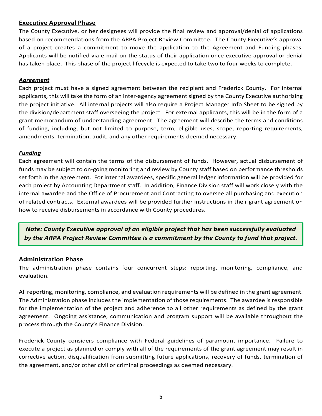#### **Executive Approval Phase**

The County Executive, or her designees will provide the final review and approval/denial of applications based on recommendations from the ARPA Project Review Committee. The County Executive's approval of a project creates a commitment to move the application to the Agreement and Funding phases. Applicants will be notified via e-mail on the status of their application once executive approval or denial has taken place. This phase of the project lifecycle is expected to take two to four weeks to complete.

#### *Agreement*

Each project must have a signed agreement between the recipient and Frederick County. For internal applicants, this will take the form of an inter-agency agreement signed by the County Executive authorizing the project initiative. All internal projects will also require a Project Manager Info Sheet to be signed by the division/department staff overseeing the project. For external applicants, this will be in the form of a grant memorandum of understanding agreement. The agreement will describe the terms and conditions of funding, including, but not limited to purpose, term, eligible uses, scope, reporting requirements, amendments, termination, audit, and any other requirements deemed necessary.

#### *Funding*

Each agreement will contain the terms of the disbursement of funds. However, actual disbursement of funds may be subject to on-going monitoring and review by County staff based on performance thresholds set forth in the agreement. For internal awardees, specific general ledger information will be provided for each project by Accounting Department staff. In addition, Finance Division staff will work closely with the internal awardee and the Office of Procurement and Contracting to oversee all purchasing and execution of related contracts. External awardees will be provided further instructions in their grant agreement on how to receive disbursements in accordance with County procedures.

*Note: County Executive approval of an eligible project that has been successfully evaluated by the ARPA Project Review Committee is a commitment by the County to fund that project.*

#### **Administration Phase**

The administration phase contains four concurrent steps: reporting, monitoring, compliance, and evaluation.

All reporting, monitoring, compliance, and evaluation requirements will be defined in the grant agreement. The Administration phase includes the implementation of those requirements. The awardee is responsible for the implementation of the project and adherence to all other requirements as defined by the grant agreement. Ongoing assistance, communication and program support will be available throughout the process through the County's Finance Division.

Frederick County considers compliance with Federal guidelines of paramount importance. Failure to execute a project as planned or comply with all of the requirements of the grant agreement may result in corrective action, disqualification from submitting future applications, recovery of funds, termination of the agreement, and/or other civil or criminal proceedings as deemed necessary.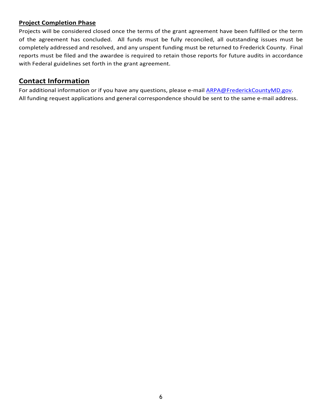#### **Project Completion Phase**

Projects will be considered closed once the terms of the grant agreement have been fulfilled or the term of the agreement has concluded. All funds must be fully reconciled, all outstanding issues must be completely addressed and resolved, and any unspent funding must be returned to Frederick County. Final reports must be filed and the awardee is required to retain those reports for future audits in accordance with Federal guidelines set forth in the grant agreement.

#### **Contact Information**

For additional information or if you have any questions, please e-mail **ARPA@FrederickCountyMD.gov.** All funding request applications and general correspondence should be sent to the same e-mail address.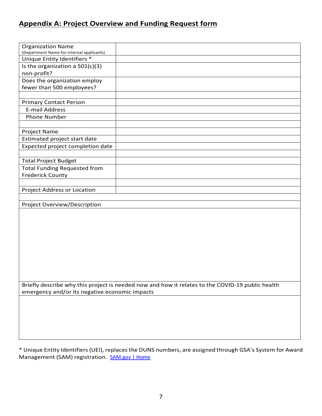# **Appendix A: Project Overview and Funding Request form**

| <b>Organization Name</b><br>(Department Name for internal applicants) |  |  |  |  |  |
|-----------------------------------------------------------------------|--|--|--|--|--|
| Unique Entity Identifiers *                                           |  |  |  |  |  |
| Is the organization a $501(c)(3)$                                     |  |  |  |  |  |
| non-profit?                                                           |  |  |  |  |  |
| Does the organization employ                                          |  |  |  |  |  |
| fewer than 500 employees?                                             |  |  |  |  |  |
|                                                                       |  |  |  |  |  |
| <b>Primary Contact Person</b>                                         |  |  |  |  |  |
| <b>E-mail Address</b>                                                 |  |  |  |  |  |
| <b>Phone Number</b>                                                   |  |  |  |  |  |
|                                                                       |  |  |  |  |  |
| Project Name                                                          |  |  |  |  |  |
| Estimated project start date                                          |  |  |  |  |  |
| Expected project completion date                                      |  |  |  |  |  |
|                                                                       |  |  |  |  |  |
| <b>Total Project Budget</b>                                           |  |  |  |  |  |
| <b>Total Funding Requested from</b>                                   |  |  |  |  |  |
| <b>Frederick County</b>                                               |  |  |  |  |  |
|                                                                       |  |  |  |  |  |
| Project Address or Location                                           |  |  |  |  |  |
|                                                                       |  |  |  |  |  |
| Project Overview/Description                                          |  |  |  |  |  |
|                                                                       |  |  |  |  |  |
|                                                                       |  |  |  |  |  |
|                                                                       |  |  |  |  |  |
|                                                                       |  |  |  |  |  |
|                                                                       |  |  |  |  |  |
|                                                                       |  |  |  |  |  |

Briefly describe why this project is needed now and how it relates to the COVID-19 public health emergency and/or its negative economic impacts

\* Unique Entity Identifiers (UEI), replaces the DUNS numbers, are assigned through GSA's System for Award Management (SAM) registration. [SAM.gov | Home](https://sam.gov/content/home)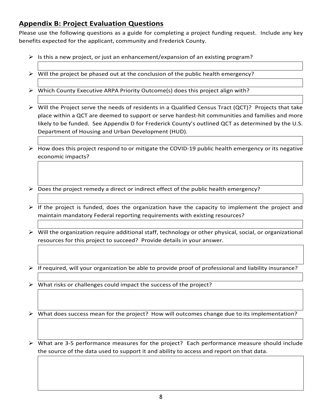# **Appendix B: Project Evaluation Questions**

Please use the following questions as a guide for completing a project funding request. Include any key benefits expected for the applicant, community and Frederick County.

- $\triangleright$  Is this a new project, or just an enhancement/expansion of an existing program?
- $\triangleright$  Will the project be phased out at the conclusion of the public health emergency?
- Which County Executive ARPA Priority Outcome(s) does this project align with?
- $\triangleright$  Will the Project serve the needs of residents in a Qualified Census Tract (QCT)? Projects that take place within a QCT are deemed to support or serve hardest-hit communities and families and more likely to be funded. See Appendix D for Frederick County's outlined QCT as determined by the U.S. Department of Housing and Urban Development (HUD).
- $\triangleright$  How does this project respond to or mitigate the COVID-19 public health emergency or its negative economic impacts?
- $\triangleright$  Does the project remedy a direct or indirect effect of the public health emergency?
- $\triangleright$  If the project is funded, does the organization have the capacity to implement the project and maintain mandatory Federal reporting requirements with existing resources?
- Will the organization require additional staff, technology or other physical, social, or organizational resources for this project to succeed? Provide details in your answer.
- $\triangleright$  If required, will your organization be able to provide proof of professional and liability insurance?
- $\triangleright$  What risks or challenges could impact the success of the project?
- $\triangleright$  What does success mean for the project? How will outcomes change due to its implementation?

 $\triangleright$  What are 3-5 performance measures for the project? Each performance measure should include the source of the data used to support it and ability to access and report on that data.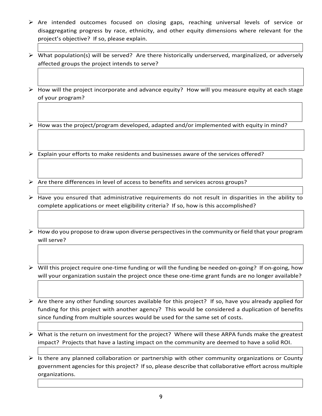- $\triangleright$  Are intended outcomes focused on closing gaps, reaching universal levels of service or disaggregating progress by race, ethnicity, and other equity dimensions where relevant for the project's objective? If so, please explain.
- $\triangleright$  What population(s) will be served? Are there historically underserved, marginalized, or adversely affected groups the project intends to serve?
- $\triangleright$  How will the project incorporate and advance equity? How will you measure equity at each stage of your program?
- $\triangleright$  How was the project/program developed, adapted and/or implemented with equity in mind?
- $\triangleright$  Explain your efforts to make residents and businesses aware of the services offered?
- $\triangleright$  Are there differences in level of access to benefits and services across groups?
- $\triangleright$  Have you ensured that administrative requirements do not result in disparities in the ability to complete applications or meet eligibility criteria? If so, how is this accomplished?
- $\triangleright$  How do you propose to draw upon diverse perspectives in the community or field that your program will serve?
- $\triangleright$  Will this project require one-time funding or will the funding be needed on-going? If on-going, how will your organization sustain the project once these one-time grant funds are no longer available?
- $\triangleright$  Are there any other funding sources available for this project? If so, have you already applied for funding for this project with another agency? This would be considered a duplication of benefits since funding from multiple sources would be used for the same set of costs.
- $\triangleright$  What is the return on investment for the project? Where will these ARPA funds make the greatest impact? Projects that have a lasting impact on the community are deemed to have a solid ROI.
- $\triangleright$  Is there any planned collaboration or partnership with other community organizations or County government agencies for this project? If so, please describe that collaborative effort across multiple organizations.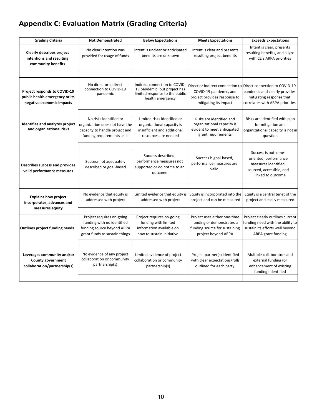# **Appendix C: Evaluation Matrix (Grading Criteria)**

| <b>Grading Criteria</b>                                                                     | <b>Not Demonstrated</b>                                                                                                  | <b>Below Expectations</b>                                                                                           | <b>Meets Expectations</b>                                                                                                                         | <b>Exceeds Expectations</b>                                                                                                   |
|---------------------------------------------------------------------------------------------|--------------------------------------------------------------------------------------------------------------------------|---------------------------------------------------------------------------------------------------------------------|---------------------------------------------------------------------------------------------------------------------------------------------------|-------------------------------------------------------------------------------------------------------------------------------|
| <b>Clearly describes project</b><br>intentions and resulting<br>community benefits          | No clear intention was<br>provided for usage of funds                                                                    | Intent is unclear or anticipated<br>benefits are unknown                                                            | Intent is clear and presents<br>resulting project benefits                                                                                        | Intent is clear, presents<br>resulting benefits, and aligns<br>with CE's ARPA priorities                                      |
|                                                                                             |                                                                                                                          |                                                                                                                     |                                                                                                                                                   |                                                                                                                               |
| Project responds to COVID-19<br>public health emergency or its<br>negative economic impacts | No direct or indirect<br>connection to COVID-19<br>pandemic                                                              | Indirect connection to COVID-<br>19 pandemic, but project has<br>limited response to the public<br>health emergency | Direct or indirect connection to Direct connection to COVID-19<br>COVID-19 pandemic, and<br>project provides response to<br>mitigating its impact | pandemic and clearly provides<br>mitigating response that<br>correlates with ARPA priorities                                  |
|                                                                                             |                                                                                                                          |                                                                                                                     |                                                                                                                                                   |                                                                                                                               |
| Identifies and analyzes project<br>and organizational risks                                 | No risks identified or<br>organization does not have the<br>capacity to handle project and<br>funding requirements as-is | Limited risks identified or<br>organizational capacity is<br>insufficient and additional<br>resources are needed    | Risks are identified and<br>organizational capacity is<br>evident to meet anticipated<br>grant requirements                                       | Risks are identified with plan<br>for mitigation and<br>organizational capacity is not in<br>question                         |
|                                                                                             |                                                                                                                          |                                                                                                                     |                                                                                                                                                   |                                                                                                                               |
| Describes success and provides<br>valid performance measures                                | Success not adequately<br>described or goal-based                                                                        | Success described,<br>performance measures not<br>supported or do not tie to an<br>outcome                          | Success is goal-based,<br>performance measures are<br>valid                                                                                       | Success is outcome-<br>oriented, performance<br>measures identified,<br>sourced, accessible, and<br>linked to outcome         |
|                                                                                             |                                                                                                                          |                                                                                                                     |                                                                                                                                                   |                                                                                                                               |
| <b>Explains how project</b><br>incorporates, advances and<br>measures equity                | No evidence that equity is<br>addressed with project                                                                     | Limited evidence that equity is<br>addressed with project                                                           | Equity is incorporated into the<br>project and can be measured                                                                                    | Equity is a central tenet of the<br>project and easily measured                                                               |
|                                                                                             |                                                                                                                          |                                                                                                                     |                                                                                                                                                   |                                                                                                                               |
| <b>Outlines project funding needs</b>                                                       | Project requires on-going<br>funding with no identified<br>funding source beyond ARPA<br>grant funds to sustain things   | Project requires on-going<br>funding with limited<br>information available on<br>how to sustain initiative          | Project uses either one-time<br>funding or demonstrates a<br>funding source for sustaining<br>project beyond ARPA                                 | Project clearly outlines current<br>funding need with the ability to<br>sustain its efforts well beyond<br>ARPA grant funding |
|                                                                                             |                                                                                                                          |                                                                                                                     |                                                                                                                                                   |                                                                                                                               |
| Leverages community and/or<br>County government<br>collaboration/partnership(s)             | No evidence of any project<br>collaboration or community<br>partnership(s)                                               | Limited evidence of project<br>collaboration or community<br>partnership(s)                                         | Project partner(s) identified<br>with clear expectations/rolls<br>outlined for each party.                                                        | Multiple collaborators and<br>external funding (or<br>enhancement of existing<br>funding) identified                          |
|                                                                                             |                                                                                                                          |                                                                                                                     |                                                                                                                                                   |                                                                                                                               |